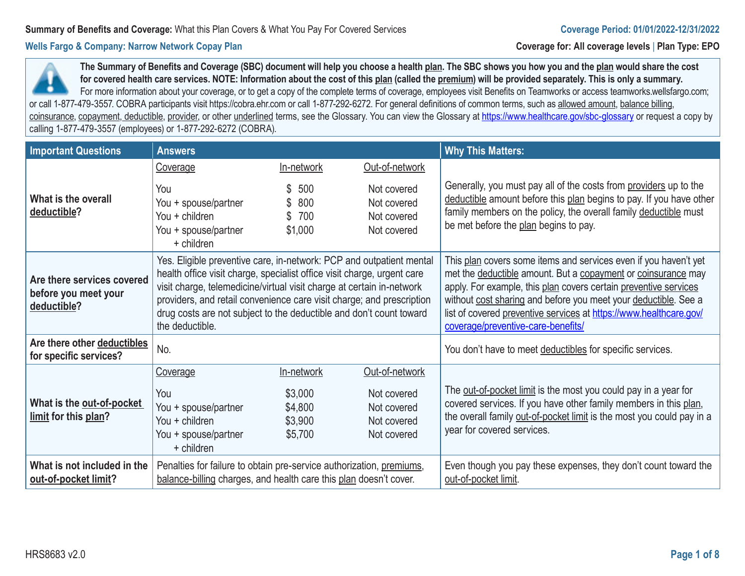**The Summary of Benefits and Coverage (SBC) document will help you choose a health plan. The SBC shows you how you and the plan would share the cost for covered health care services. NOTE: Information about the cost of this plan (called the premium) will be provided separately. This is only a summary.**  For more information about your coverage, or to get a copy of the complete terms of coverage, employees visit Benefits on Teamworks or access teamworks.wellsfargo.com; or call 1-877-479-3557. COBRA participants visit https://cobra.ehr.com or call 1-877-292-6272. For general definitions of common terms, such as allowed amount, balance billing, coinsurance, copayment, deductible, provider, or other underlined terms, see the Glossary. You can view the Glossary at https://www.healthcare.gov/sbc-glossary or request a copy by calling 1-877-479-3557 (employees) or 1-877-292-6272 (COBRA).

| <b>Important Questions</b>                                        | <b>Answers</b>                                                                                                                                                                                                                                                                                                                                                                              |                                                        |                                                                            | <b>Why This Matters:</b>                                                                                                                                                                                                                                                                                                                                                             |
|-------------------------------------------------------------------|---------------------------------------------------------------------------------------------------------------------------------------------------------------------------------------------------------------------------------------------------------------------------------------------------------------------------------------------------------------------------------------------|--------------------------------------------------------|----------------------------------------------------------------------------|--------------------------------------------------------------------------------------------------------------------------------------------------------------------------------------------------------------------------------------------------------------------------------------------------------------------------------------------------------------------------------------|
|                                                                   | Coverage                                                                                                                                                                                                                                                                                                                                                                                    | In-network                                             | Out-of-network                                                             |                                                                                                                                                                                                                                                                                                                                                                                      |
| What is the overall<br>deductible?                                | You<br>You + spouse/partner<br>You + children<br>You + spouse/partner<br>+ children                                                                                                                                                                                                                                                                                                         | \$<br>500<br>800<br>700<br>\$1,000                     | Not covered<br>Not covered<br>Not covered<br>Not covered                   | Generally, you must pay all of the costs from providers up to the<br>deductible amount before this plan begins to pay. If you have other<br>family members on the policy, the overall family deductible must<br>be met before the plan begins to pay.                                                                                                                                |
| Are there services covered<br>before you meet your<br>deductible? | Yes. Eligible preventive care, in-network: PCP and outpatient mental<br>health office visit charge, specialist office visit charge, urgent care<br>visit charge, telemedicine/virtual visit charge at certain in-network<br>providers, and retail convenience care visit charge; and prescription<br>drug costs are not subject to the deductible and don't count toward<br>the deductible. |                                                        |                                                                            | This plan covers some items and services even if you haven't yet<br>met the deductible amount. But a copayment or coinsurance may<br>apply. For example, this plan covers certain preventive services<br>without cost sharing and before you meet your deductible. See a<br>list of covered preventive services at https://www.healthcare.gov/<br>coverage/preventive-care-benefits/ |
| Are there other deductibles<br>for specific services?             | No.                                                                                                                                                                                                                                                                                                                                                                                         |                                                        |                                                                            | You don't have to meet deductibles for specific services.                                                                                                                                                                                                                                                                                                                            |
| What is the out-of-pocket<br>limit for this plan?                 | Coverage<br>You<br>You + spouse/partner<br>You + children<br>You + spouse/partner<br>+ children                                                                                                                                                                                                                                                                                             | In-network<br>\$3,000<br>\$4,800<br>\$3,900<br>\$5,700 | Out-of-network<br>Not covered<br>Not covered<br>Not covered<br>Not covered | The <u>out-of-pocket limit</u> is the most you could pay in a year for<br>covered services. If you have other family members in this plan,<br>the overall family out-of-pocket limit is the most you could pay in a<br>year for covered services.                                                                                                                                    |
| What is not included in the<br>out-of-pocket limit?               | Penalties for failure to obtain pre-service authorization, premiums,<br>balance-billing charges, and health care this plan doesn't cover.                                                                                                                                                                                                                                                   |                                                        |                                                                            | Even though you pay these expenses, they don't count toward the<br>out-of-pocket limit.                                                                                                                                                                                                                                                                                              |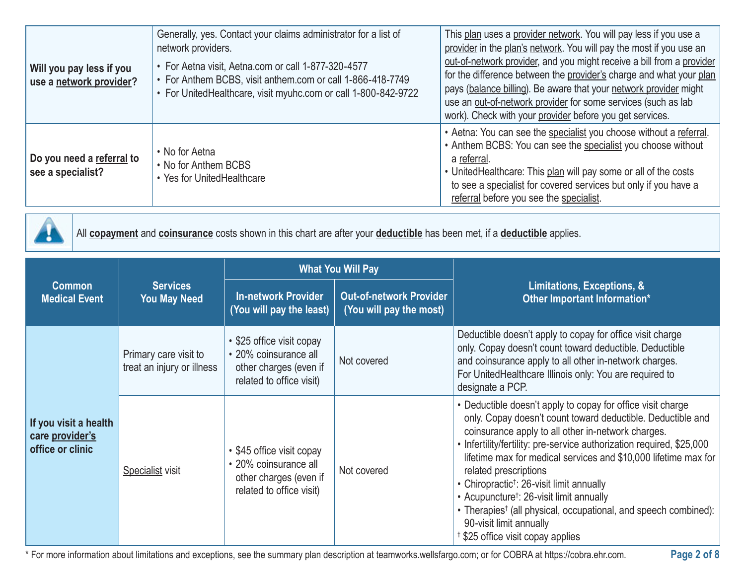| Will you pay less if you<br>use a network provider? | Generally, yes. Contact your claims administrator for a list of<br>network providers.<br>• For Aetna visit, Aetna.com or call 1-877-320-4577<br>• For Anthem BCBS, visit anthem.com or call 1-866-418-7749<br>• For UnitedHealthcare, visit myuhc.com or call 1-800-842-9722 | This plan uses a provider network. You will pay less if you use a<br>provider in the plan's network. You will pay the most if you use an<br>out-of-network provider, and you might receive a bill from a provider<br>for the difference between the provider's charge and what your plan<br>pays (balance billing). Be aware that your network provider might<br>use an out-of-network provider for some services (such as lab<br>work). Check with your provider before you get services. |
|-----------------------------------------------------|------------------------------------------------------------------------------------------------------------------------------------------------------------------------------------------------------------------------------------------------------------------------------|--------------------------------------------------------------------------------------------------------------------------------------------------------------------------------------------------------------------------------------------------------------------------------------------------------------------------------------------------------------------------------------------------------------------------------------------------------------------------------------------|
| Do you need a referral to<br>see a specialist?      | • No for Aetna<br>• No for Anthem BCBS<br>• Yes for UnitedHealthcare                                                                                                                                                                                                         | • Aetna: You can see the specialist you choose without a referral.<br>• Anthem BCBS: You can see the specialist you choose without<br>a referral.<br>• UnitedHealthcare: This plan will pay some or all of the costs<br>to see a specialist for covered services but only if you have a<br>referral before you see the specialist.                                                                                                                                                         |



All **copayment** and **coinsurance** costs shown in this chart are after your **deductible** has been met, if a **deductible** applies.

|                                                              | <b>Services</b><br><b>You May Need</b>              | <b>What You Will Pay</b>                                                                                 |                                                           |                                                                                                                                                                                                                                                                                                                                                                                                                                                                                                                                                                                                                     |  |
|--------------------------------------------------------------|-----------------------------------------------------|----------------------------------------------------------------------------------------------------------|-----------------------------------------------------------|---------------------------------------------------------------------------------------------------------------------------------------------------------------------------------------------------------------------------------------------------------------------------------------------------------------------------------------------------------------------------------------------------------------------------------------------------------------------------------------------------------------------------------------------------------------------------------------------------------------------|--|
| <b>Common</b><br><b>Medical Event</b>                        |                                                     | <b>In-network Provider</b><br>You will pay the least)                                                    | <b>Out-of-network Provider</b><br>(You will pay the most) | Limitations, Exceptions, &<br>Other Important Information*                                                                                                                                                                                                                                                                                                                                                                                                                                                                                                                                                          |  |
|                                                              | Primary care visit to<br>treat an injury or illness | • \$25 office visit copay<br>• 20% coinsurance all<br>other charges (even if<br>related to office visit) | Not covered                                               | Deductible doesn't apply to copay for office visit charge<br>only. Copay doesn't count toward deductible. Deductible<br>and coinsurance apply to all other in-network charges.<br>For UnitedHealthcare Illinois only: You are required to<br>designate a PCP.                                                                                                                                                                                                                                                                                                                                                       |  |
| If you visit a health<br>care provider's<br>office or clinic | <b>Specialist visit</b>                             | • \$45 office visit copay<br>• 20% coinsurance all<br>other charges (even if<br>related to office visit) | Not covered                                               | • Deductible doesn't apply to copay for office visit charge<br>only. Copay doesn't count toward deductible. Deductible and<br>coinsurance apply to all other in-network charges.<br>• Infertility/fertility: pre-service authorization required, \$25,000<br>lifetime max for medical services and \$10,000 lifetime max for<br>related prescriptions<br>• Chiropractic <sup>†</sup> : 26-visit limit annually<br>• Acupuncture <sup>†</sup> : 26-visit limit annually<br>• Therapies <sup>†</sup> (all physical, occupational, and speech combined):<br>90-visit limit annually<br>\$25 office visit copay applies |  |

\* For more information about limitations and exceptions, see the summary plan description at teamworks.wellsfargo.com; or for COBRA at https://cobra.ehr.com.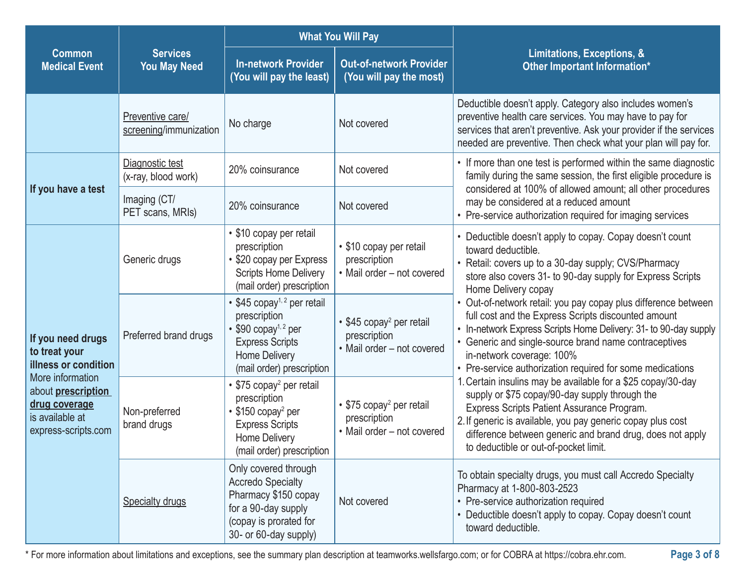|                                                                                                                                                                 |                                            | <b>What You Will Pay</b>                                                                                                                                                 |                                                                                          |                                                                                                                                                                                                                                                                                                                                              |  |
|-----------------------------------------------------------------------------------------------------------------------------------------------------------------|--------------------------------------------|--------------------------------------------------------------------------------------------------------------------------------------------------------------------------|------------------------------------------------------------------------------------------|----------------------------------------------------------------------------------------------------------------------------------------------------------------------------------------------------------------------------------------------------------------------------------------------------------------------------------------------|--|
| <b>Common</b><br><b>Medical Event</b>                                                                                                                           | <b>Services</b><br><b>You May Need</b>     | <b>In-network Provider</b><br>(You will pay the least)                                                                                                                   | <b>Out-of-network Provider</b><br>(You will pay the most)                                | Limitations, Exceptions, &<br><b>Other Important Information*</b>                                                                                                                                                                                                                                                                            |  |
|                                                                                                                                                                 | Preventive care/<br>screening/immunization | No charge                                                                                                                                                                | Not covered                                                                              | Deductible doesn't apply. Category also includes women's<br>preventive health care services. You may have to pay for<br>services that aren't preventive. Ask your provider if the services<br>needed are preventive. Then check what your plan will pay for.                                                                                 |  |
|                                                                                                                                                                 | Diagnostic test<br>(x-ray, blood work)     | 20% coinsurance                                                                                                                                                          | Not covered                                                                              | • If more than one test is performed within the same diagnostic<br>family during the same session, the first eligible procedure is                                                                                                                                                                                                           |  |
| If you have a test                                                                                                                                              | Imaging (CT/<br>PET scans, MRIs)           | 20% coinsurance                                                                                                                                                          | Not covered                                                                              | considered at 100% of allowed amount; all other procedures<br>may be considered at a reduced amount<br>• Pre-service authorization required for imaging services                                                                                                                                                                             |  |
| If you need drugs<br>to treat your<br>illness or condition<br>More information<br>about prescription<br>drug coverage<br>is available at<br>express-scripts.com | Generic drugs                              | • \$10 copay per retail<br>prescription<br>• \$20 copay per Express<br><b>Scripts Home Delivery</b><br>(mail order) prescription                                         | • \$10 copay per retail<br>prescription<br>• Mail order - not covered                    | • Deductible doesn't apply to copay. Copay doesn't count<br>toward deductible.<br>• Retail: covers up to a 30-day supply; CVS/Pharmacy<br>store also covers 31- to 90-day supply for Express Scripts<br>Home Delivery copay                                                                                                                  |  |
|                                                                                                                                                                 | Preferred brand drugs                      | • \$45 copay <sup>1, 2</sup> per retail<br>prescription<br>$\cdot$ \$90 copay <sup>1,2</sup> per<br><b>Express Scripts</b><br>Home Delivery<br>(mail order) prescription | • \$45 copay <sup>2</sup> per retail<br>prescription<br>• Mail order – not covered       | • Out-of-network retail: you pay copay plus difference between<br>full cost and the Express Scripts discounted amount<br>• In-network Express Scripts Home Delivery: 31- to 90-day supply<br>• Generic and single-source brand name contraceptives<br>in-network coverage: 100%<br>• Pre-service authorization required for some medications |  |
|                                                                                                                                                                 | Non-preferred<br>brand drugs               | • \$75 copay <sup>2</sup> per retail<br>prescription<br>$\cdot$ \$150 copay <sup>2</sup> per<br><b>Express Scripts</b><br>Home Delivery<br>(mail order) prescription     | $\cdot$ \$75 copay <sup>2</sup> per retail<br>prescription<br>• Mail order - not covered | 1. Certain insulins may be available for a \$25 copay/30-day<br>supply or \$75 copay/90-day supply through the<br>Express Scripts Patient Assurance Program.<br>2. If generic is available, you pay generic copay plus cost<br>difference between generic and brand drug, does not apply<br>to deductible or out-of-pocket limit.            |  |
|                                                                                                                                                                 | <b>Specialty drugs</b>                     | Only covered through<br><b>Accredo Specialty</b><br>Pharmacy \$150 copay<br>for a 90-day supply<br>(copay is prorated for<br>30- or 60-day supply)                       | Not covered                                                                              | To obtain specialty drugs, you must call Accredo Specialty<br>Pharmacy at 1-800-803-2523<br>• Pre-service authorization required<br>• Deductible doesn't apply to copay. Copay doesn't count<br>toward deductible.                                                                                                                           |  |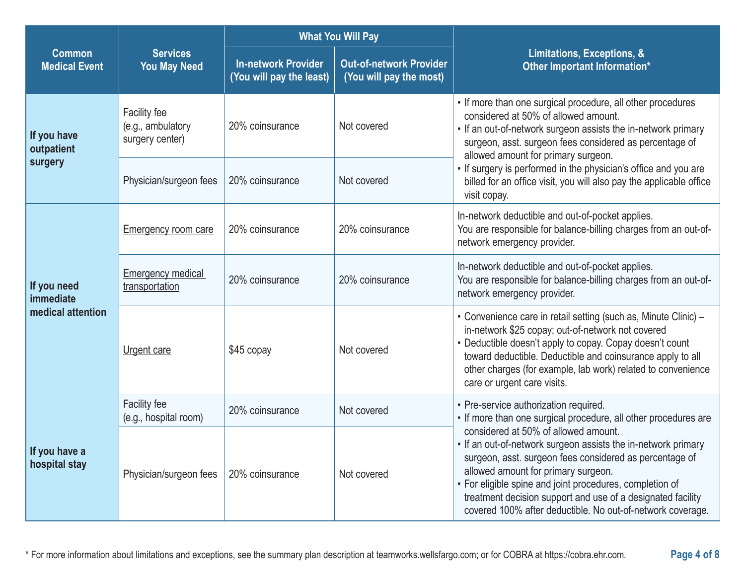|                                               |                                                      | <b>What You Will Pay</b>                               |                                                           |                                                                                                                                                                                                                                                                                                                                                                                                  |  |
|-----------------------------------------------|------------------------------------------------------|--------------------------------------------------------|-----------------------------------------------------------|--------------------------------------------------------------------------------------------------------------------------------------------------------------------------------------------------------------------------------------------------------------------------------------------------------------------------------------------------------------------------------------------------|--|
| <b>Common</b><br><b>Medical Event</b>         | <b>Services</b><br><b>You May Need</b>               | <b>In-network Provider</b><br>(You will pay the least) | <b>Out-of-network Provider</b><br>(You will pay the most) | Limitations, Exceptions, &<br>Other Important Information*                                                                                                                                                                                                                                                                                                                                       |  |
| If you have<br>outpatient<br>surgery          | Facility fee<br>(e.g., ambulatory<br>surgery center) | 20% coinsurance                                        | Not covered                                               | • If more than one surgical procedure, all other procedures<br>considered at 50% of allowed amount.<br>• If an out-of-network surgeon assists the in-network primary<br>surgeon, asst. surgeon fees considered as percentage of<br>allowed amount for primary surgeon.                                                                                                                           |  |
|                                               | Physician/surgeon fees                               | 20% coinsurance                                        | Not covered                                               | • If surgery is performed in the physician's office and you are<br>billed for an office visit, you will also pay the applicable office<br>visit copay.                                                                                                                                                                                                                                           |  |
| If you need<br>immediate<br>medical attention | <b>Emergency room care</b>                           | 20% coinsurance                                        | 20% coinsurance                                           | In-network deductible and out-of-pocket applies.<br>You are responsible for balance-billing charges from an out-of-<br>network emergency provider.                                                                                                                                                                                                                                               |  |
|                                               | <b>Emergency medical</b><br>transportation           | 20% coinsurance                                        | 20% coinsurance                                           | In-network deductible and out-of-pocket applies.<br>You are responsible for balance-billing charges from an out-of-<br>network emergency provider.                                                                                                                                                                                                                                               |  |
|                                               | Urgent care                                          | \$45 copay                                             | Not covered                                               | • Convenience care in retail setting (such as, Minute Clinic) -<br>in-network \$25 copay; out-of-network not covered<br>• Deductible doesn't apply to copay. Copay doesn't count<br>toward deductible. Deductible and coinsurance apply to all<br>other charges (for example, lab work) related to convenience<br>care or urgent care visits.                                                    |  |
| If you have a<br>hospital stay                | Facility fee<br>(e.g., hospital room)                | 20% coinsurance                                        | Not covered                                               | • Pre-service authorization required.<br>• If more than one surgical procedure, all other procedures are                                                                                                                                                                                                                                                                                         |  |
|                                               | Physician/surgeon fees                               | 20% coinsurance                                        | Not covered                                               | considered at 50% of allowed amount.<br>• If an out-of-network surgeon assists the in-network primary<br>surgeon, asst. surgeon fees considered as percentage of<br>allowed amount for primary surgeon.<br>• For eligible spine and joint procedures, completion of<br>treatment decision support and use of a designated facility<br>covered 100% after deductible. No out-of-network coverage. |  |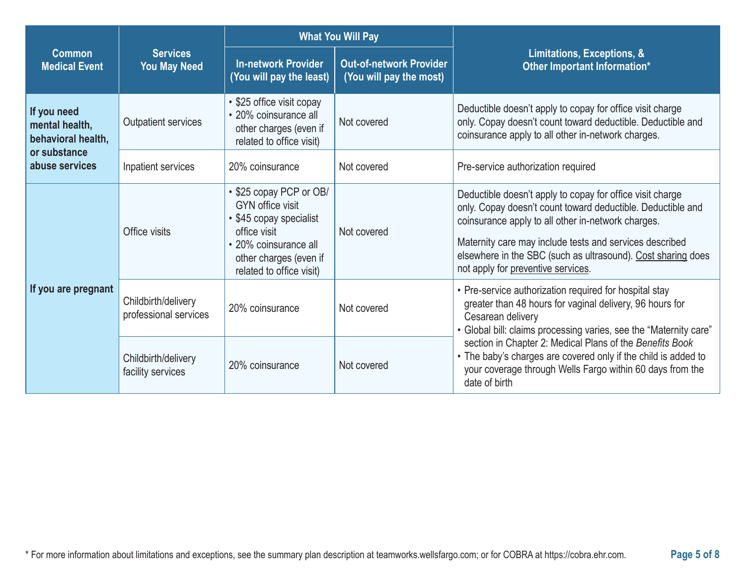|                                                     |                                              | <b>What You Will Pay</b>                                                                                                                                                     |                                                           |                                                                                                                                                                                                                                                                                                                                                 |  |
|-----------------------------------------------------|----------------------------------------------|------------------------------------------------------------------------------------------------------------------------------------------------------------------------------|-----------------------------------------------------------|-------------------------------------------------------------------------------------------------------------------------------------------------------------------------------------------------------------------------------------------------------------------------------------------------------------------------------------------------|--|
| <b>Common</b><br><b>Medical Event</b>               | <b>Services</b><br><b>You May Need</b>       | <b>In-network Provider</b><br>(You will pay the least)                                                                                                                       | <b>Out-of-network Provider</b><br>(You will pay the most) | Limitations, Exceptions, &<br>Other Important Information*                                                                                                                                                                                                                                                                                      |  |
| If you need<br>mental health,<br>behavioral health, | <b>Outpatient services</b>                   | • \$25 office visit copay<br>· 20% coinsurance all<br>other charges (even if<br>related to office visit)                                                                     | Not covered                                               | Deductible doesn't apply to copay for office visit charge<br>only. Copay doesn't count toward deductible. Deductible and<br>coinsurance apply to all other in-network charges.                                                                                                                                                                  |  |
| or substance<br>abuse services                      | Inpatient services                           | 20% coinsurance                                                                                                                                                              | Not covered                                               | Pre-service authorization required                                                                                                                                                                                                                                                                                                              |  |
| If you are pregnant                                 | Office visits                                | • \$25 copay PCP or OB/<br><b>GYN</b> office visit<br>• \$45 copay specialist<br>office visit<br>• 20% coinsurance all<br>other charges (even if<br>related to office visit) | Not covered                                               | Deductible doesn't apply to copay for office visit charge<br>only. Copay doesn't count toward deductible. Deductible and<br>coinsurance apply to all other in-network charges.<br>Maternity care may include tests and services described<br>elsewhere in the SBC (such as ultrasound). Cost sharing does<br>not apply for preventive services. |  |
|                                                     | Childbirth/delivery<br>professional services | 20% coinsurance                                                                                                                                                              | Not covered                                               | • Pre-service authorization required for hospital stay<br>greater than 48 hours for vaginal delivery, 96 hours for<br>Cesarean delivery<br>• Global bill: claims processing varies, see the "Maternity care"                                                                                                                                    |  |
|                                                     | Childbirth/delivery<br>facility services     | 20% coinsurance                                                                                                                                                              | Not covered                                               | section in Chapter 2: Medical Plans of the Benefits Book<br>• The baby's charges are covered only if the child is added to<br>your coverage through Wells Fargo within 60 days from the<br>date of birth                                                                                                                                        |  |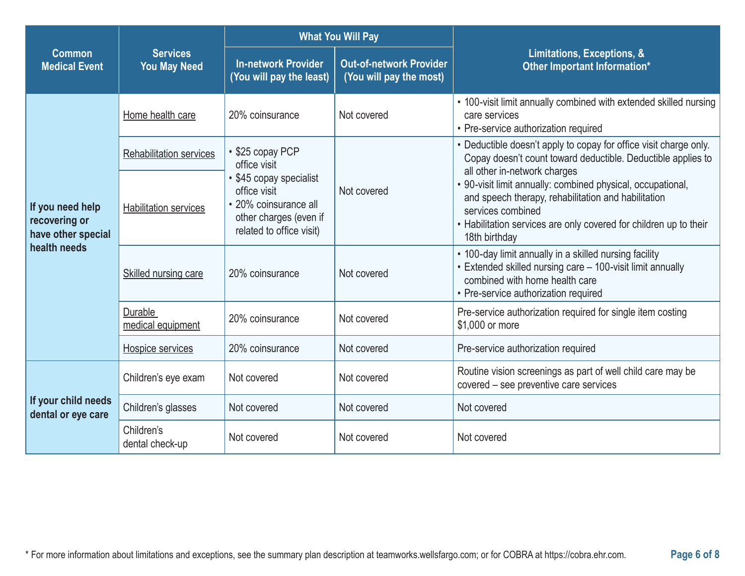|                                                                         |                                        | <b>What You Will Pay</b>                                                                                               |                                                           |                                                                                                                                                                                                                               |  |
|-------------------------------------------------------------------------|----------------------------------------|------------------------------------------------------------------------------------------------------------------------|-----------------------------------------------------------|-------------------------------------------------------------------------------------------------------------------------------------------------------------------------------------------------------------------------------|--|
| <b>Common</b><br><b>Medical Event</b>                                   | <b>Services</b><br><b>You May Need</b> | <b>In-network Provider</b><br>(You will pay the least)                                                                 | <b>Out-of-network Provider</b><br>(You will pay the most) | Limitations, Exceptions, &<br>Other Important Information*                                                                                                                                                                    |  |
|                                                                         | Home health care                       | 20% coinsurance                                                                                                        | Not covered                                               | • 100-visit limit annually combined with extended skilled nursing<br>care services<br>• Pre-service authorization required                                                                                                    |  |
|                                                                         | <b>Rehabilitation services</b>         | • \$25 copay PCP<br>office visit                                                                                       |                                                           | • Deductible doesn't apply to copay for office visit charge only.<br>Copay doesn't count toward deductible. Deductible applies to<br>all other in-network charges                                                             |  |
| If you need help<br>recovering or<br>have other special<br>health needs | <b>Habilitation services</b>           | • \$45 copay specialist<br>office visit<br>• 20% coinsurance all<br>other charges (even if<br>related to office visit) | Not covered                                               | • 90-visit limit annually: combined physical, occupational,<br>and speech therapy, rehabilitation and habilitation<br>services combined<br>• Habilitation services are only covered for children up to their<br>18th birthday |  |
|                                                                         | Skilled nursing care                   | 20% coinsurance                                                                                                        | Not covered                                               | • 100-day limit annually in a skilled nursing facility<br>• Extended skilled nursing care - 100-visit limit annually<br>combined with home health care<br>• Pre-service authorization required                                |  |
|                                                                         | Durable<br>medical equipment           | 20% coinsurance                                                                                                        | Not covered                                               | Pre-service authorization required for single item costing<br>\$1,000 or more                                                                                                                                                 |  |
|                                                                         | Hospice services                       | 20% coinsurance                                                                                                        | Not covered                                               | Pre-service authorization required                                                                                                                                                                                            |  |
| If your child needs<br>dental or eye care                               | Children's eye exam                    | Not covered                                                                                                            | Not covered                                               | Routine vision screenings as part of well child care may be<br>covered - see preventive care services                                                                                                                         |  |
|                                                                         | Children's glasses                     | Not covered                                                                                                            | Not covered                                               | Not covered                                                                                                                                                                                                                   |  |
|                                                                         | Children's<br>dental check-up          | Not covered                                                                                                            | Not covered                                               | Not covered                                                                                                                                                                                                                   |  |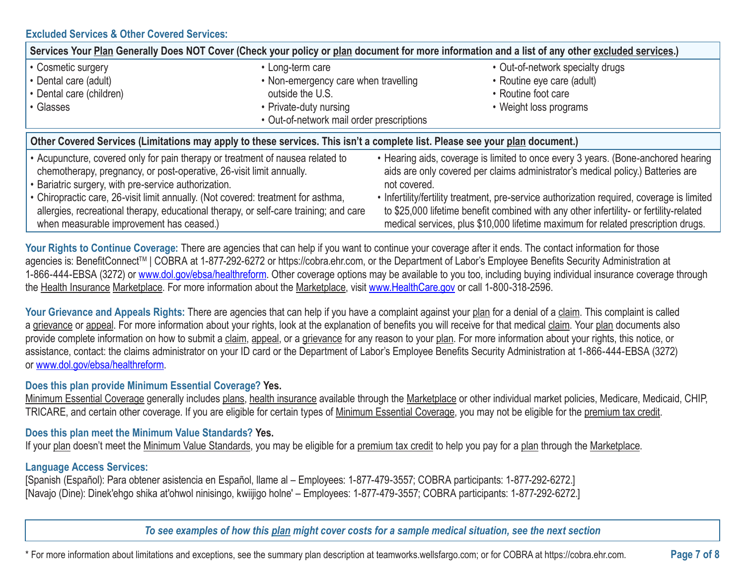## **Excluded Services & Other Covered Services:**

| Services Your Plan Generally Does NOT Cover (Check your policy or plan document for more information and a list of any other excluded services.)                                                                                                                                                                                                |                                                                                       |                                                                                                                                                                                                                                                                                                                                                                                                                                                                  |  |  |  |
|-------------------------------------------------------------------------------------------------------------------------------------------------------------------------------------------------------------------------------------------------------------------------------------------------------------------------------------------------|---------------------------------------------------------------------------------------|------------------------------------------------------------------------------------------------------------------------------------------------------------------------------------------------------------------------------------------------------------------------------------------------------------------------------------------------------------------------------------------------------------------------------------------------------------------|--|--|--|
| • Cosmetic surgery                                                                                                                                                                                                                                                                                                                              | • Long-term care                                                                      | • Out-of-network specialty drugs                                                                                                                                                                                                                                                                                                                                                                                                                                 |  |  |  |
| • Dental care (adult)                                                                                                                                                                                                                                                                                                                           | • Non-emergency care when travelling                                                  | • Routine eye care (adult)                                                                                                                                                                                                                                                                                                                                                                                                                                       |  |  |  |
| • Dental care (children)                                                                                                                                                                                                                                                                                                                        | outside the U.S.                                                                      | • Routine foot care                                                                                                                                                                                                                                                                                                                                                                                                                                              |  |  |  |
| • Glasses                                                                                                                                                                                                                                                                                                                                       | • Private-duty nursing                                                                | • Weight loss programs                                                                                                                                                                                                                                                                                                                                                                                                                                           |  |  |  |
|                                                                                                                                                                                                                                                                                                                                                 | • Out-of-network mail order prescriptions                                             |                                                                                                                                                                                                                                                                                                                                                                                                                                                                  |  |  |  |
| Other Covered Services (Limitations may apply to these services. This isn't a complete list. Please see your plan document.)                                                                                                                                                                                                                    |                                                                                       |                                                                                                                                                                                                                                                                                                                                                                                                                                                                  |  |  |  |
| • Acupuncture, covered only for pain therapy or treatment of nausea related to<br>chemotherapy, pregnancy, or post-operative, 26-visit limit annually.<br>• Bariatric surgery, with pre-service authorization.<br>• Chiropractic care, 26-visit limit annually. (Not covered: treatment for asthma,<br>when measurable improvement has ceased.) | allergies, recreational therapy, educational therapy, or self-care training; and care | • Hearing aids, coverage is limited to once every 3 years. (Bone-anchored hearing<br>aids are only covered per claims administrator's medical policy.) Batteries are<br>not covered.<br>• Infertility/fertility treatment, pre-service authorization required, coverage is limited<br>to \$25,000 lifetime benefit combined with any other infertility- or fertility-related<br>medical services, plus \$10,000 lifetime maximum for related prescription drugs. |  |  |  |

Your Rights to Continue Coverage: There are agencies that can help if you want to continue your coverage after it ends. The contact information for those agencies is: BenefitConnect™ | COBRA at 1-877-292-6272 or https://cobra.ehr.com, or the Department of Labor's Employee Benefits Security Administration at 1-866-444-EBSA (3272) or www.dol.gov/ebsa/healthreform. Other coverage options may be available to you too, including buying individual insurance coverage through the Health Insurance Marketplace. For more information about the Marketplace, visit www.HealthCare.gov or call 1-800-318-2596.

Your Grievance and Appeals Rights: There are agencies that can help if you have a complaint against your plan for a denial of a claim. This complaint is called a grievance or appeal. For more information about your rights, look at the explanation of benefits you will receive for that medical claim. Your plan documents also provide complete information on how to submit a claim, appeal, or a grievance for any reason to your plan. For more information about your rights, this notice, or assistance, contact: the claims administrator on your ID card or the Department of Labor's Employee Benefits Security Administration at 1-866-444-EBSA (3272) or www.dol.gov/ebsa/healthreform.

## **Does this plan provide Minimum Essential Coverage? Yes.**

Minimum Essential Coverage generally includes plans, health insurance available through the Marketplace or other individual market policies, Medicare, Medicaid, CHIP, TRICARE, and certain other coverage. If you are eligible for certain types of Minimum Essential Coverage, you may not be eligible for the premium tax credit.

#### **Does this plan meet the Minimum Value Standards? Yes.**

If your plan doesn't meet the Minimum Value Standards, you may be eligible for a premium tax credit to help you pay for a plan through the Marketplace.

# **Language Access Services:**

[Spanish (Español): Para obtener asistencia en Español, llame al – Employees: 1-877-479-3557; COBRA participants: 1-877-292-6272.] [Navajo (Dine): Dinek'ehgo shika at'ohwol ninisingo, kwiijigo holne' – Employees: 1-877-479-3557; COBRA participants: 1-877-292-6272.]

*To see examples of how this plan might cover costs for a sample medical situation, see the next section*